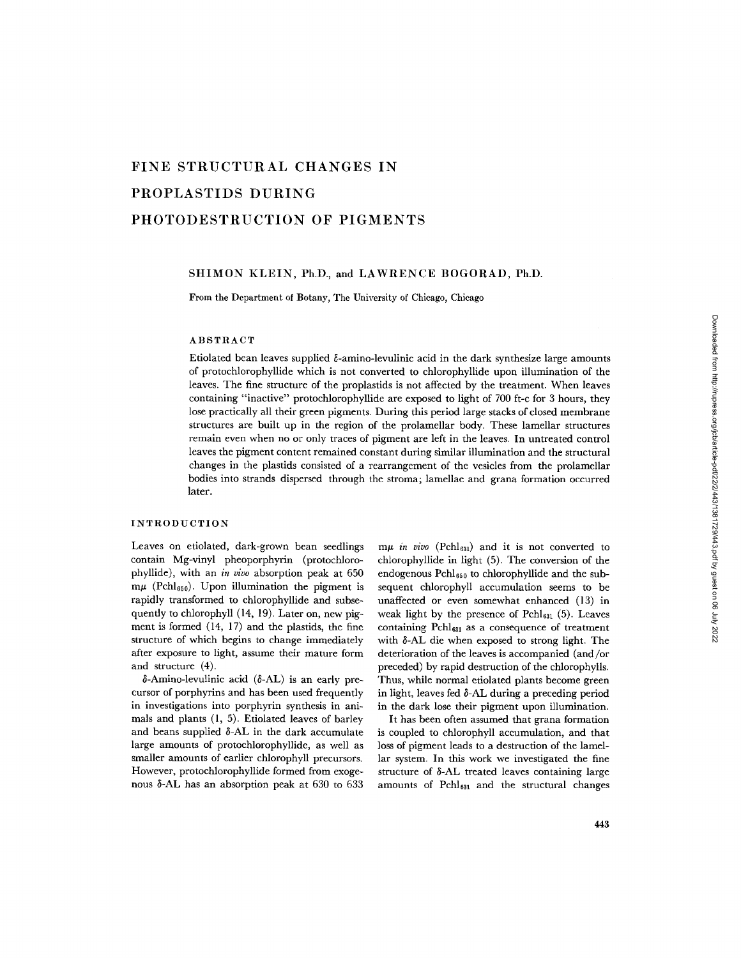# **FINE STRUCTURAL CHANGES IN PROPLASTIDS DURING PHOTODESTRUCTION OF PIGMENTS**

## SHIMON KLEIN, Ph.D., and LAWRENCE BOGORAD, Ph.D.

From the Department of Botany, The University of Chicago, Chicago

## ABSTRACT

Etiolated bean leaves supplied  $\delta$ -amino-levulinic acid in the dark synthesize large amounts of protochlorophyllide which is not converted to chlorophyllide upon illumination of the leaves. The fine structure of the proplastids is not affected by the treatment. When leaves containing "inactive" protochlorophyllide are exposed to light of 700 ft-c for 3 hours, they lose practically all their green pigments. During this period large stacks of closed membrane structures are built up in the region of the prolamellar body. These lamellar structures remain even when no or only traces of pigment are left in the leaves. In untreated control leaves the pigment content remained constant during similar illumination and the structural changes in the plastids consisted of a rearrangement of the vesicles from the prolamellar bodies into strands dispersed through the stroma; lamellae and grana formation occurred later.

#### INTRODUCTION

Leaves on etiolated, dark-grown bean seedlings contain Mg-vinyl pheoporphyrin (protochlorophyllide), with an *in vivo* absorption peak at 650  $m\mu$  (Pchl<sub>650</sub>). Upon illumination the pigment is rapidly transformed to chlorophyllide and subsequently to chlorophyll (14, 19). Later on, new pigment is formed (14, 17) and the plastids, the fine structure of which begins to change immediately after exposure to light, assume their mature form and structure (4).

 $\delta$ -Amino-levulinic acid ( $\delta$ -AL) is an early precursor of porphyrins and has been used frequently in investigations into porphyrin synthesis in animals and plants (1, 5). Etiolated leaves of barley and beans supplied  $\delta$ -AL in the dark accumulate large amounts of protochlorophyllide, as well as smaller amounts of earlier chlorophyll precursors. However, protochlorophyllide formed from exogenous &AL has an absorption peak at 630 to 633

*mµ in vivo* (Pchl<sub>631</sub>) and it is not converted to chlorophyllide in light (5). The conversion of the endogenous Pch1650 to chlorophyllide and the subsequent chlorophyll accumulation seems to be unaffected or even somewhat enhanced (13) in weak light by the presence of  $Pchl_{631}$  (5). Leaves containing  $Pchl_{631}$  as a consequence of treatment with δ-AL die when exposed to strong light. The deterioration of the leaves is accompanied (and/or preceded) by rapid destruction of the chlorophylls. Thus, while normal etiolated plants become green in light, leaves fed  $\delta$ -AL during a preceding period in the dark lose their pigment upon illumination.

It has been often assumed that grana formation is coupled to chlorophyll accumulation, and that loss of pigment leads to a destruction of the lamellar system. In this work we investigated the fine structure of &AL treated leaves containing large amounts of Pchl<sub>631</sub> and the structural changes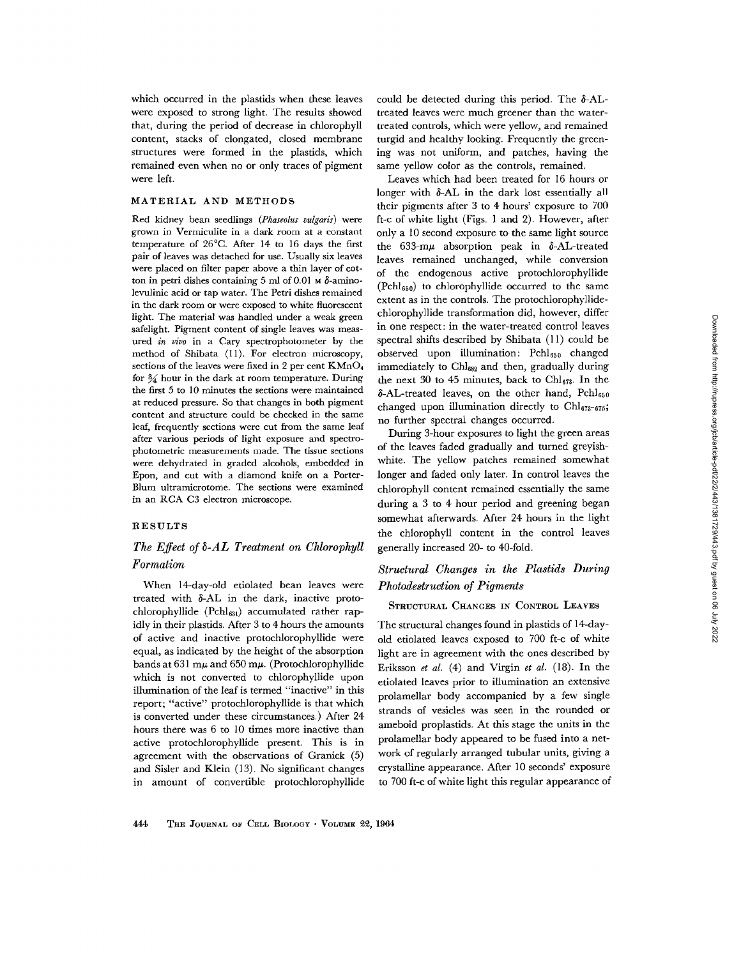which occurred in the plastids when these leaves were exposed to strong light. The results showed that, during the period of decrease in chlorophyll content, stacks of elongated, closed membrane structures were formed in the plastids, which remained even when no or only traces of pigment were left.

## MATERIAL AND METHODS

Red kidney bean seedlings *(Phaseolus vulgaris)* were grown in Vermiculite in a dark room at a constant temperature of 26°C. After 14 to 16 days the first pair of leaves was detached for use. Usually six leaves were placed on filter paper above a thin layer of cotton in petri dishes containing 5 ml of 0.01  $\mu$   $\delta$ -aminolevulinic acid or tap water. The Petri dishes remained in the dark room or were exposed to white fluorescent light. The material was handled under a weak green safelight. Pigment content of single leaves was measured *in vivo* in a Cary speetrophotometer by the method of Shibata (11). For electron microscopy, sections of the leaves were fixed in 2 per cent KMnO4 for  $\frac{3}{4}$  hour in the dark at room temperature. During the first 5 to 10 minutes the sections were maintained at reduced pressure. So that changes in both pigment content and structure could be checked in the same leaf, frequently sections were cut from the same leaf after various periods of light exposure and spectrophotometric measurements made. The tissue sections were dehydrated in graded alcohols, embedded in Epon, and cut with a diamond knife on a Porter-Blum ultramicrotome. The sections were examined in an RCA C3 electron microscope.

## RESULTS

# *The Effect of 5-AL Treatment on Chlorophyll Formation*

When 14-day-old etiolated bean leaves were treated with  $\delta$ -AL in the dark, inactive protochlorophyllide (Pchl<sub>631</sub>) accumulated rather rapidly in their plastids. After 3 to 4 hours the amounts of active and inactive protochlorophyllidc were equal, as indicated by the height of the absorption bands at 631 m $\mu$  and 650 m $\mu$ . (Protochlorophyllide which is not converted to chlorophyllide upon illumination of the leaf is termed "inactive" in this report; "active" protochlorophyllide is that which is converted under these circumstances.) After 24 hours there was 6 to l0 times more inactive than active protochlorophyllide present. This is in agreement with the observations of Granick (5) and Sisler and Klein (13). No significant changes in amount of convertible protochlorophyllidc

could be detected during this period. The  $\delta$ -ALtreated leaves were much greener than the watertreated controls, which were yellow, and remained turgid and healthy looking. Frequently the greening was not uniform, and patches, having the same yellow color as the controls, remained.

Leaves which had been treated for 16 hours or longer with  $\delta$ -AL in the dark lost essentially all their pigments after 3 to 4 hours' exposure to 700 ft-c of white light (Figs. 1 and 2). However, after only a 10 second exposure to the same light source the 633-m $\mu$  absorption peak in  $\delta$ -AL-treated leaves remained unchanged, while conversion of the endogenous active protochlorophyllide (Pch1650) to chlorophyllide occurred to the same extent as in the controls. The protochlorophyllidechlorophyllide transformation did, however, differ in one respect: in the water-treated control leaves spectral shifts described by Shibata (11) could be observed upon illumination: Pchl<sub>650</sub> changed immediately to Chl<sub>682</sub> and then, gradually during the next 30 to 45 minutes, back to  $\text{Chl}_{673}$ . In the  $\delta$ -AL-treated leaves, on the other hand,  $Pchl_{650}$ changed upon illumination directly to  $Chl_{673-675}$ ; no further spectral changes occurred.

During 3-hour exposures to light the green areas of the leaves faded gradually and turned greyishwhite. The yellow patches remained somewhat longer and faded only later. In control leaves the chlorophyll content remained essentially the same during a 3 to 4 hour period and greening began somewhat afterwards. After 24 hours in the light the chlorophyll content in the control leaves generally increased 20- to 40-fold.

# *Structural Changes in the Plastids During Photodestruction of Pigments*

## STRUCTURAL CHANGES IN CONTROL LEAVES

The structural changes found in plastids of 14-dayold etiolated leaves exposed to 700 ft-c of white light are in agreement with the ones described by Eriksson *et al.* (4) and Virgin *et al.* (18). In the etiolated leaves prior to illumination an extensive prolamellar body accompanied by a few single strands of vesicles was seen in the rounded or ameboid proplastids. At this stage the units in the prolamellar body appeared to be fused into a network of regularly arranged tubular units, giving a crystalline appearance. After 10 seconds' exposure to 700 ft-c of white light this regular appearance of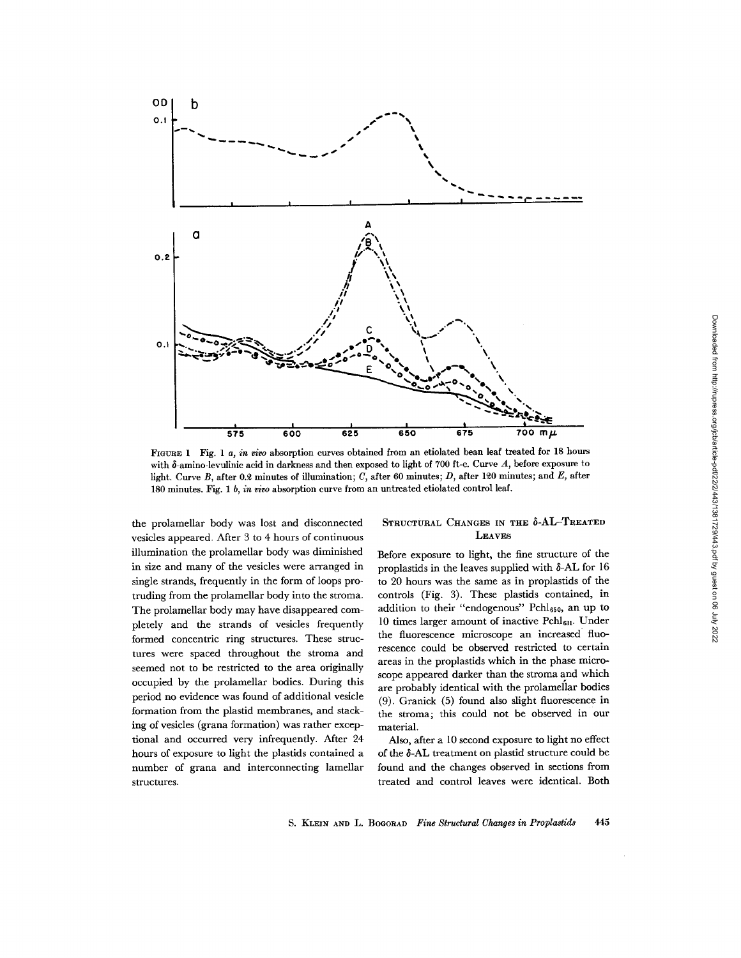

FIOURE 1 Fig. *1 a, in vivo* absorption curves obtained from an etiolated bean leaf treated for 18 hours with  $\delta$ -amino-levulinic acid in darkness and then exposed to light of 700 ft-c. Curve A, before exposure to light. Curve B, after 0.2 minutes of illumination; C, after 60 minutes; D, after 120 minutes; and E, after 180 minutes. Fig. *1 b, in vivo* absorption curve from an untreated etiolated control leaf.

the prolamellar body was lost and disconnected vesicles appeared. After 3 to 4 hours of continuous illumination the prolamellar body was diminished in size and many of the vesicles were arranged in single strands, frequently in the form of loops protruding from the prolamellar body into the stroma. The prolamellar body may have disappeared completely and the strands of vesicles frequently formed concentric ring structures. These structures were spaced throughout the stroma and seemed not to be restricted to the area originally occupied by the prolamellar bodies. During this period no evidence was found of additional vesicle formation from the plastid membranes, and stacking of vesicles (grana formation) was rather exceptional and occurred very infrequently. After 24 hours of exposure to light the plastids contained a number of grana and interconnecting lamellar structures.

## STRUCTURAL CHANGES IN THE  $\delta$ -AL-TREATED LEAVES

Before exposure to light, the fine structure of the proplastids in the leaves supplied with  $\delta$ -AL for 16 to 20 hours was the same as in proplastids of the controls (Fig. 3). These plastids contained, in addition to their "endogenous" Pchl<sub>650</sub>, an up to 10 times larger amount of inactive Pchl<sub>631</sub>. Under the fluorescence microscope an increased fluorescence could be observed restricted to certain areas in the proplastids which in the phase microscope appeared darker than the stroma and which are probably identical with the prolamellar bodies (9). Granick (5) found also slight fluorescence in the stroma; this could not be observed in our material.

Also, after a l0 second exposure to light no effect of the  $\delta$ -AL treatment on plastid structure could be found and the changes observed in sections from treated and control leaves were identical. Both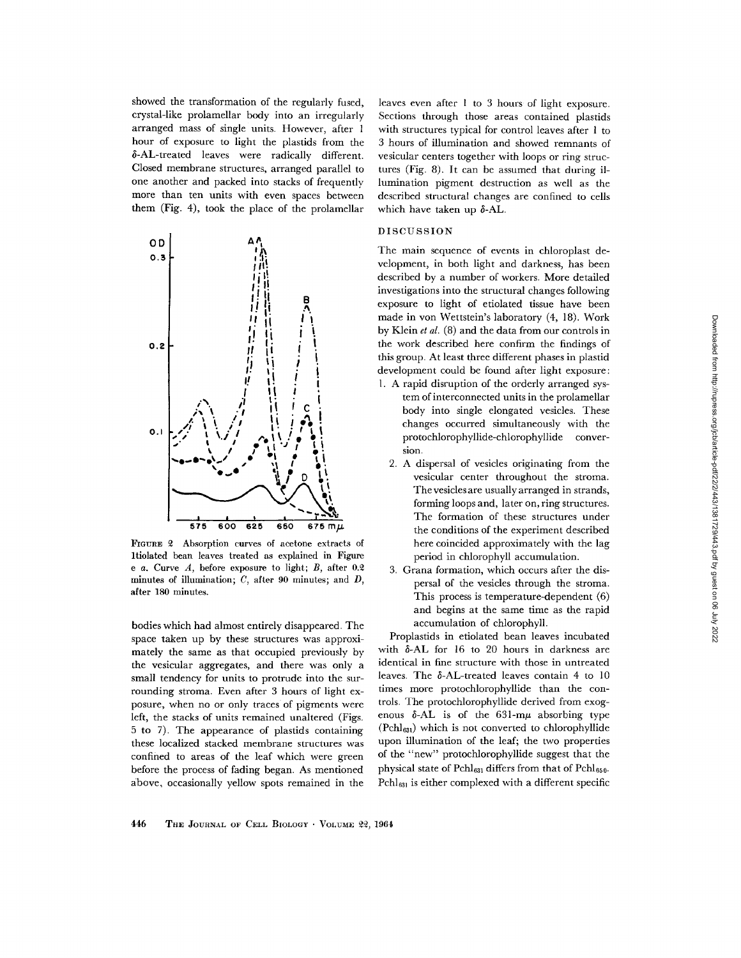showed the transformation of the regularly fused, crystal-like prolamellar body into an irregularly arranged mass of single units. However, after 1 hour of exposure to light the plastids from the  $\delta$ -AL-treated leaves were radically different. Closed membrane structures, arranged parallel to one another and packed into stacks of frequently more than ten units with even spaces between them (Fig. 4), took the place of the prolamellar



FIGURE 2 Absorption curves of acetone extracts of ltiolated bean leaves treated as explained in Figure e  $a$ . Curve  $A$ , before exposure to light;  $B$ , after 0.2 minutes of illumination;  $C$ , after 90 minutes; and  $D$ , after 180 minutes.

bodies which had almost entirely disappeared. The space taken up by these structures was approximately the same as that occupied previously by the vesicular aggregates, and there was only a small tendency for units to protrude into the surrounding stroma. Even after 3 hours of light exposure, when no or only traces of pigments were left, the stacks of units remained unaltered (Figs. 5 to 7). The appearance of plastids containing these localized stacked membrane structures was confined to areas of the leaf which were green before the process of fading began. As mentioned above, occasionally yellow spots remained in the

leaves even after 1 to 3 hours of light exposure. Sections through those areas contained plastids with structures typical for control leaves after 1 to 3 hours of illumination and showed remnants of vesicular centers together with loops or ring structures (Fig. 8). It can be assumed that during illumination pigment destruction as well as the described structural changes are confined to cells which have taken up  $\delta$ -AL.

#### DISCUSSION

The main sequence of events in chloroplast development, in both light and darkness, has been described by a number of workers. More detailed investigations into the structural changes following exposure to light of etiolated tissue have been made in von Wettstein's laboratory (4, 18). Work by Klein *et al.* (8) and the data from our controls in the work described here confirm the findings of this group. At least three different phases in plastid development could be found after light exposure:

- 1. A rapid disruption of the orderly arranged system of interconnected units in the prolamellar body into single elongated vesicles. These changes occurred simultaneously with the protochlorophyllide-chlorophyllide conversion.
	- 2. A dispersal of vesicles originating from the vesicular center throughout the stroma. The vesicles are usually arranged in strands, forming loops and, later on, ring structures. The formation of these structures under the conditions of the experiment described here coincided approximately with the lag period in chlorophyll accumulation.
	- 3. Grana formation, which occurs after the dispersal of the vesicles through the stroma. This process is temperature-dependent (6) and begins at the same time as the rapid accumulation of chlorophyll.

Proplastids in etiolated bean leaves incubated with  $\delta$ -AL for 16 to 20 hours in darkness are identical in fine structure with those in untreated leaves. The 6-AL-treated leaves contain 4 to 10 times more protochlorophyllide than the controls. The protochlorophyllide derived from exogenous  $\delta$ -AL is of the 631-m $\mu$  absorbing type  $(PchI<sub>631</sub>)$  which is not converted to chlorophyllide upon illumination of the leaf; the two properties of the "new" protochlorophyllide suggest that the physical state of  $Pchl_{631}$  differs from that of  $Pchl_{650}$ .  $Pchl<sub>631</sub>$  is either complexed with a different specific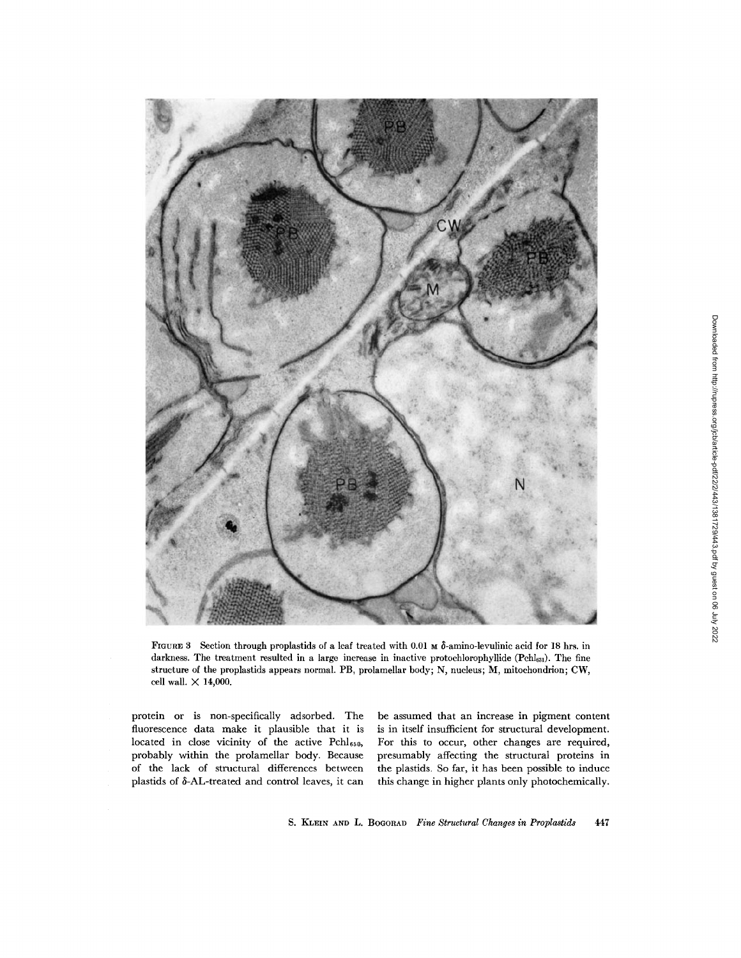

FIGURE 3 Section through proplastids of a leaf treated with 0.01  $\text{M}$   $\delta$ -amino-levulinic acid for 18 hrs. in darkness. The treatment resulted in a large increase in inactive protochlorophyllide (Pchl<sub>631</sub>). The fine structure of the proplastids appears normal. PB, prolamellar body; N, nucleus; M, mitochondrion; CW, cell wall.  $\times$  14,000.

protein or is non-specifically adsorbed. The fluorescence data make it plausible that it is located in close vicinity of the active Pch1650, probably within the prolamellar body. Because of the lack of structural differences between plastids of 6-AL-treated and control leaves, it can

be assumed that an increase in pigment content is in itself insufficient for structural development. For this to occur, other changes are required, presumably affecting the structural proteins in the plastids. So far, it has been possible to induce this change in higher plants only photochemically.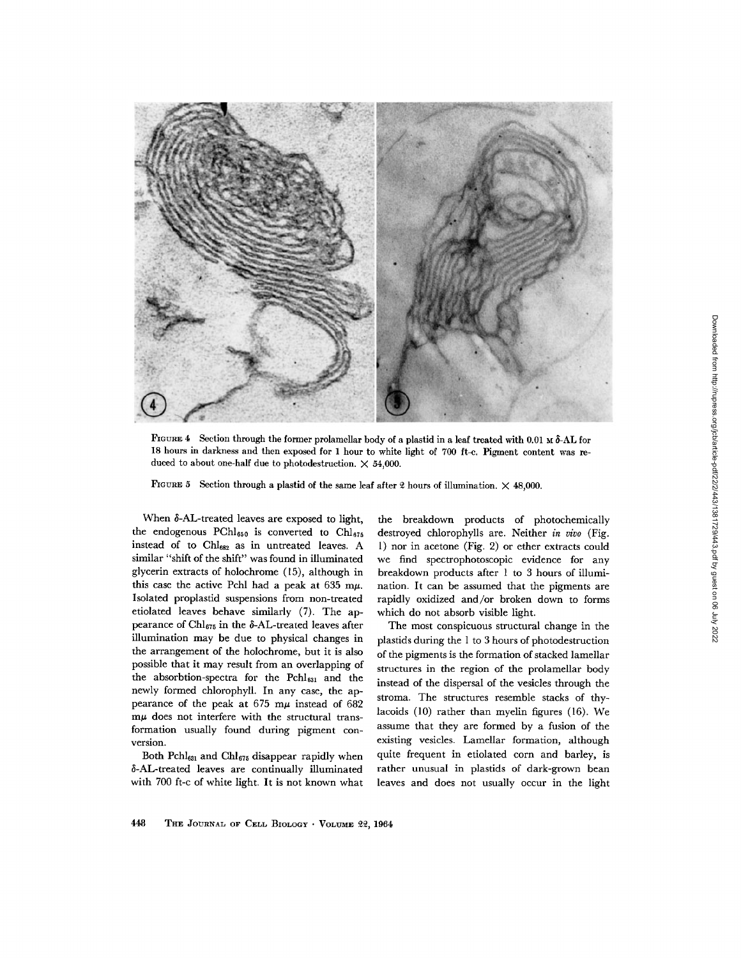

FIGURE 4 Section through the former prolamellar body of a plastid in a leaf treated with 0.01 M  $\delta$ -AL for 18 hours in darkness and then exposed for 1 hour to white light of 700 ft-c. Pigment content was reduced to about one-half due to photodestruction.  $\times$  54,000.

FIGURE 5 Section through a plastid of the same leaf after 2 hours of illumination.  $\times$  48,000.

When  $\delta$ -AL-treated leaves are exposed to light, the endogenous PCh1650 is converted to Ch1675 instead of to Chl<sub>682</sub> as in untreated leaves. A similar "shift of the shift" was found in illuminated glycerin extracts of holochrome (15), although in this case the active Pchl had a peak at 635 m $\mu$ . Isolated proplastid suspensions from non-treated etiolated leaves behave similarly (7). The appearance of Chl $_{675}$  in the  $\delta$ -AL-treated leaves after illumination may be due to physical changes in the arrangement of the holochrome, but it is also possible that it may result from an overlapping of the absorbtion-spectra for the Pchl<sub>631</sub> and the newly formed chlorophyll. In any case, the appearance of the peak at  $675$  m $\mu$  instead of  $682$  $m\mu$  does not interfere with the structural transformation usually found during pigment conversion.

Both  $Pchl_{631}$  and  $Chl_{675}$  disappear rapidly when  $\delta$ -AL-treated leaves are continually illuminated with 700 ft-c of white light. It is not known what

the breakdown products of photochemically destroyed chlorophylls are. Neither *in vivo* (Fig. 1) nor in acetone (Fig. 2) or ether extracts could we find spectrophotoscopic evidence for any breakdown products after 1 to 3 hours of illumination. It can be assumed that the pigments are rapidly oxidized and/or broken down to forms which do not absorb visible light.

The most conspicuous structural change in the plastids during the 1 to 3 hours of photodestruction of the pigments is the formation of stacked lamellar structures in the region of the prolamellar body instead of the dispersal of the vesicles through the stroma. The structures resemble stacks of thylacoids (10) rather than myelin figures (16). We assume that they are formed by a fusion of the existing vesicles. Lamellar formation, although quite frequent in etiolated corn and barley, is rather unusual in plastids of dark-grown bean leaves and does not usually occur in the light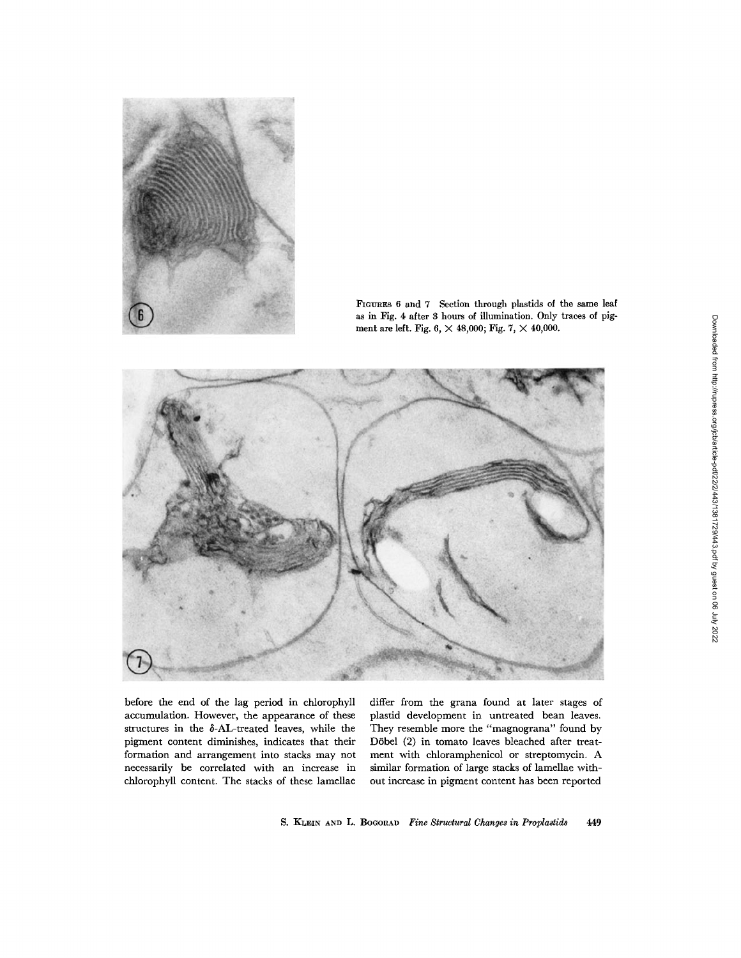

FIGURES 6 and 7 Section through plastids of the same leaf as in Fig. 4 after 3 hours of illumination. Only traces of pigment are left. Fig.  $6, \times 48,000$ ; Fig.  $7, \times 40,000$ .



before the end of the lag period in chlorophyll accumulation. However, the appearance of these structures in the  $\delta$ -AL-treated leaves, while the pigment content diminishes, indicates that their formation and arrangement into stacks may not necessarily be correlated with an increase in chlorophyll content. The stacks of these lamellae

differ from the grana found at later stages of plastid development in untreated bean leaves. They resemble more the "magnograna" found by D6bel (2) in tomato leaves bleached after treatment with chloramphenicol or streptomycin. A similar formation of large stacks of lamellae without increase in pigment content has been reported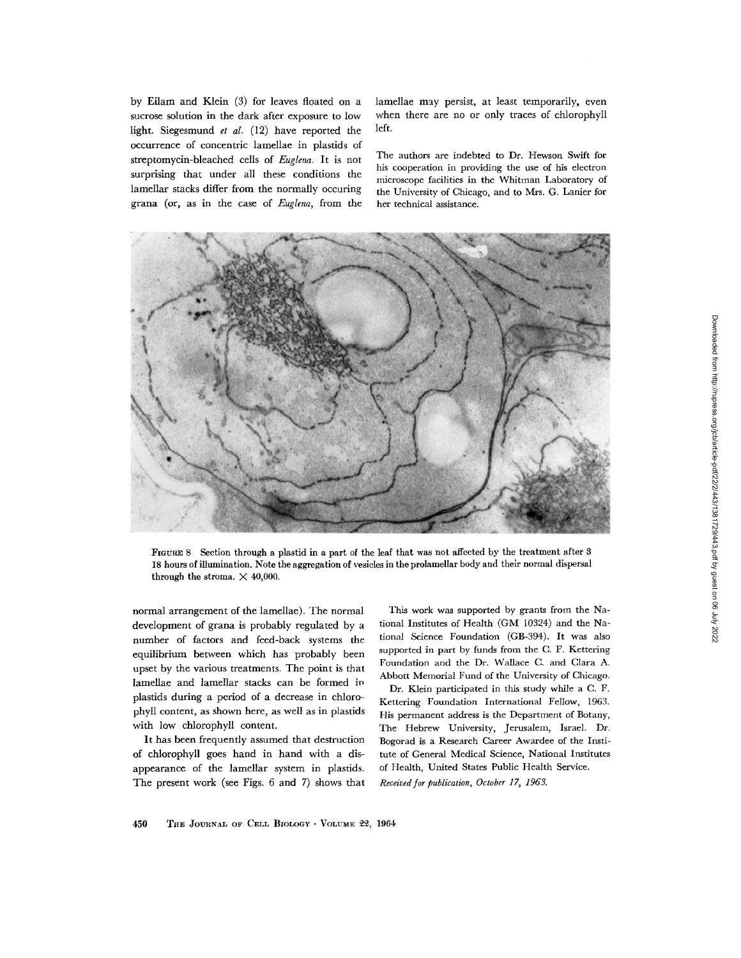by Eilam and Klein (3) for leaves floated on a sucrose solution in the dark after exposure to low light. Siegesmund *et al.* (12) have reported the occurrence of concentric lamellae in plastids of streptomycin-bleached cells of *Euglena.* It is not surprising that under all these conditions the lamellar stacks differ from the normally occuring grana (or, as in the case of *Euglena,* from the lamellae may persist, at least temporarily, even when there are no or only traces of chlorophyll left.

The authors are indebted to Dr. Hewson Swift for his cooperation in providing the use of his electron microscope facilities in the Whitman Laboratory of the University of Chicago, and to Mrs. G. Lanier for her technical assistance.



FIGURE 8 Section through a plastid in a part of the leaf that was not affected by the treatment after 8 18 hours of illumination. Note the aggregation of vesicles in the prolamellar body and their normal dispersal through the stroma.  $\times$  40,000.

normal arrangement of the lamellae). The normal development of grana is probably regulated by a number of factors and feed-back systems the equilibrium between which has probably been upset by the various treatments. The point is that lamellae and lamellar stacks can be formed in plastids during a period of a decrease in chlorophyll content, as shown here, as well as in plastids with low chlorophyll content.

It has been frequently assumed that destruction of chlorophyll goes hand in hand with a disappearance of the lamellar system in plastids. The present work (see Figs. 6 and 7) shows that

This work was supported by grants from the National Institutes of Health (GN[ 10324) and the National Science Foundation (GB-394). It was also supported in part by funds from the C. F. Kettering Foundation and the Dr. Wallace C. and Clara A. Abbott Memorial Fund of the University of Chicago.

Dr. Klein participated in this study while a C. F. Kettering Foundation International Fellow, 1963. His permanent address is the Department of Botany, The Hebrew University, Jerusalem, Israel. Dr. Bogorad is a Research Career Awardee of the Institute of General Medical Science, National Institutes of Health, United States Public Health Service.

*Received for publication, October 17, 1963.*